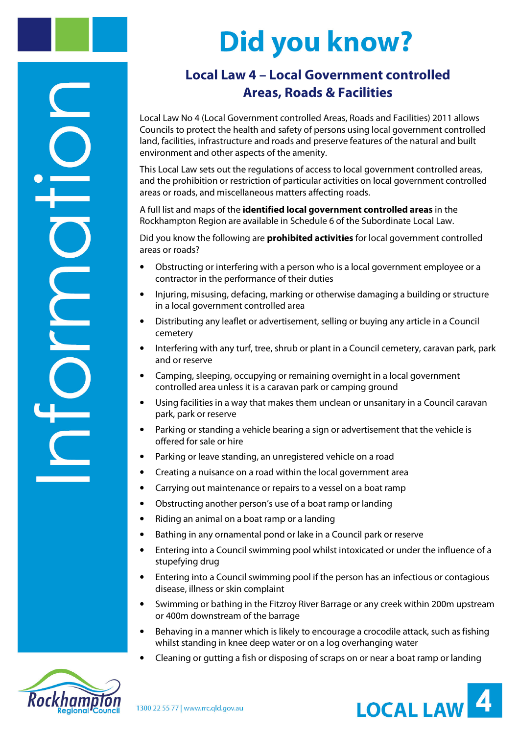## **Did you know?**

## **Local Law 4 – Local Government controlled Areas, Roads & Facilities**

Local Law No 4 (Local Government controlled Areas, Roads and Facilities) 2011 allows Councils to protect the health and safety of persons using local government controlled land, facilities, infrastructure and roads and preserve features of the natural and built environment and other aspects of the amenity.

This Local Law sets out the regulations of access to local government controlled areas, and the prohibition or restriction of particular activities on local government controlled areas or roads, and miscellaneous matters affecting roads.

A full list and maps of the **identified local government controlled areas** in the Rockhampton Region are available in Schedule 6 of the Subordinate Local Law.

Did you know the following are **prohibited activities** for local government controlled areas or roads?

- Obstructing or interfering with a person who is a local government employee or a contractor in the performance of their duties
- Injuring, misusing, defacing, marking or otherwise damaging a building or structure in a local government controlled area
- Distributing any leaflet or advertisement, selling or buying any article in a Council cemetery
- Interfering with any turf, tree, shrub or plant in a Council cemetery, caravan park, park and or reserve
- Camping, sleeping, occupying or remaining overnight in a local government controlled area unless it is a caravan park or camping ground
- Using facilities in a way that makes them unclean or unsanitary in a Council caravan park, park or reserve
- Parking or standing a vehicle bearing a sign or advertisement that the vehicle is offered for sale or hire
- Parking or leave standing, an unregistered vehicle on a road
- Creating a nuisance on a road within the local government area
- Carrying out maintenance or repairs to a vessel on a boat ramp
- Obstructing another person's use of a boat ramp or landing
- Riding an animal on a boat ramp or a landing
- Bathing in any ornamental pond or lake in a Council park or reserve
- Entering into a Council swimming pool whilst intoxicated or under the influence of a stupefying drug
- Entering into a Council swimming pool if the person has an infectious or contagious disease, illness or skin complaint
- Swimming or bathing in the Fitzroy River Barrage or any creek within 200m upstream or 400m downstream of the barrage
- Behaving in a manner which is likely to encourage a crocodile attack, such as fishing whilst standing in knee deep water or on a log overhanging water
- Cleaning or gutting a fish or disposing of scraps on or near a boat ramp or landing